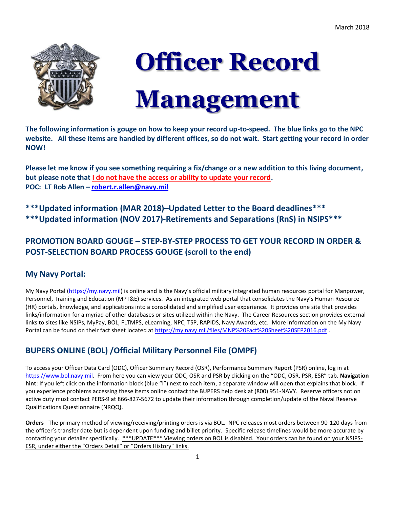

# **Officer Record Management**

**The following information is gouge on how to keep your record up-to-speed. The blue links go to the NPC website. All these items are handled by different offices, so do not wait. Start getting your record in order NOW!** e d<br>le

**Please let me know if you see something requiring a fix/change or a new addition to this living document, but please note that I do not have the access or ability to update your record. POC: LT Rob Allen – [robert.r.allen@navy.mil](mailto:robert.r.allen@navy.mil)** 

**\*\*\*Updated information (MAR 2018)–Updated Letter to the Board deadlines\*\*\* \*\*\*Updated information (NOV 2017)-Retirements and Separations (RnS) in NSIPS\*\*\***

# **PROMOTION BOARD GOUGE – STEP-BY-STEP PROCESS TO GET YOUR RECORD IN ORDER & POST-SELECTION BOARD PROCESS GOUGE (scroll to the end)**

# **My Navy Portal:**

My Navy Portal [\(https://my.navy.mil](https://my.navy.mil/)) is online and is the Navy's official military integrated human resources portal for Manpower, Personnel, Training and Education (MPT&E) services. As an integrated web portal that consolidates the Navy's Human Resource (HR) portals, knowledge, and applications into a consolidated and simplified user experience. It provides one site that provides links/information for a myriad of other databases or sites utilized within the Navy. The Career Resources section provides external links to sites like NSIPs, MyPay, BOL, FLTMPS, eLearning, NPC, TSP, RAPIDS, Navy Awards, etc. More information on the My Navy Portal can be found on their fact sheet located a[t https://my.navy.mil/files/MNP%20Fact%20Sheet%20SEP2016.pdf](https://my.navy.mil/files/MNP%20Fact%20Sheet%20SEP2016.pdf)

# **BUPERS ONLINE (BOL) /Official Military Personnel File (OMPF)**

To access your Officer Data Card (ODC), Officer Summary Record (OSR), Performance Summary Report (PSR) online, log in at [https://www.bol.navy.mil.](https://www.bol.navy.mil/) From here you can view your ODC, OSR and PSR by clicking on the "ODC, OSR, PSR, ESR" tab. **Navigation hint**: If you left click on the information block (blue "I") next to each item, a separate window will open that explains that block. If you experience problems accessing these items online contact the BUPERS help desk at (800) 951-NAVY. Reserve officers not on active duty must contact PERS-9 at 866-827-5672 to update their information through completion/update of the Naval Reserve Qualifications Questionnaire (NRQQ).

**Orders** - The primary method of viewing/receiving/printing orders is via BOL. NPC releases most orders between 90-120 days from the officer's transfer date but is dependent upon funding and billet priority. Specific release timelines would be more accurate by contacting your detailer specifically. \*\*\*UPDATE\*\*\* Viewing orders on BOL is disabled. Your orders can be found on your NSIPS-ESR, under either the "Orders Detail" or "Orders History" links.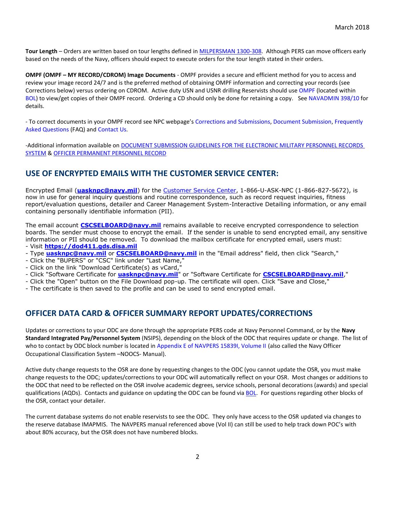**Tour Length** – Orders are written based on tour lengths defined i[n MILPERSMAN 1300-308.](http://www.public.navy.mil/bupers-npc/reference/milpersman/1000/1300Assignment/Documents/1300-308.pdf) Although PERS can move officers early based on the needs of the Navy, officers should expect to execute orders for the tour length stated in their orders.

**OMPF (OMPF – MY RECORD/CDROM) Image Documents** - OMPF provides a secure and efficient method for you to access and review your image record 24/7 and is the preferred method of obtaining OMPF information and correcting your records (see Corrections below) versus ordering on CDROM. Active duty USN and USNR drilling Reservists should use [OMPF](http://www.public.navy.mil/bupers-npc/career/recordsmanagement/Pages/MyOMPF.aspx) (located within [BOL\)](https://www.bol.navy.mil/bam/) to view/get copies of their OMPF record. Ordering a CD should only be done for retaining a copy. See [NAVADMIN 398/10](http://www.public.navy.mil/bupers-npc/reference/messages/Documents/NAVADMINS/NAV2010/NAV10398.txt) for details.

- To correct documents in your OMPF record see NPC webpage's [Corrections and Submissions,](http://www.public.navy.mil/BUPERS-NPC/CAREER/RECORDSMANAGEMENT/Pages/MyOMPF.aspx) [Document Submission,](http://www.public.navy.mil/bupers-npc/career/performanceevaluation/Pages/default.aspx) [Frequently](http://www.public.navy.mil/CareerInfo/RecordsManagement/AboutYourRecord/FAQ.htm)  [Asked Questions](http://www.public.navy.mil/CareerInfo/RecordsManagement/AboutYourRecord/FAQ.htm) (FAQ) an[d Contact Us.](http://www.public.navy.mil/bupers-npc/career/recordsmanagement/militarypersonnelrecords/Pages/ContactUs.aspx)

-Additional information available o[n DOCUMENT SUBMISSION GUIDELINES FOR THE ELECTRONIC MILITARY PERSONNEL RECORDS](http://www.public.navy.mil/bupers-npc/reference/instructions/BUPERSInstructions/Documents/1070.27C.pdf)  [SYSTEM](http://www.public.navy.mil/bupers-npc/reference/instructions/BUPERSInstructions/Documents/1070.27C.pdf) [& OFFICER PERMANENT PERSONNEL RECORD](http://www.public.navy.mil/bupers-npc/reference/milpersman/1000/1000General/Documents/1070-020.pdf)

## **USE OF ENCRYPTED EMAILS WITH THE CUSTOMER SERVICE CENTER:**

Encrypted Email (**[uasknpc@navy.mil](mailto:uasknpc@navy.mil)**) for the [Customer Service Center,](http://www.public.navy.mil/bupers-npc/organization/npc/csc/Pages/default.aspx) 1-866-U-ASK-NPC (1-866-827-5672), is now in use for general inquiry questions and routine correspondence, such as record request inquiries, fitness report/evaluation questions, detailer and Career Management System-Interactive Detailing information, or any email containing personally identifiable information (PII).

The email account **[CSCSELBOARD@navy.mil](mailto:CSCSELBOARD@navy.mil)** remains available to receive encrypted correspondence to selection boards. The sender must choose to encrypt the email. If the sender is unable to send encrypted email, any sensitive information or PII should be removed. To download the mailbox certificate for encrypted email, users must:

- Visit **[https://dod411.gds.disa.mil](https://dod411.gds.disa.mil/)**
- Type **[uasknpc@navy.mil](mailto:uasknpc@navy.mil)** or **[CSCSELBOARD@navy.mil](mailto:CSCSELBOARD@navy.mil)** in the "Email address" field, then click "Search,"
- Click the "BUPERS" or "CSC" link under "Last Name,"
- Click on the link "Download Certificate(s) as vCard,"
- Click "Software Certificate for **[uasknpc@navy.mil](mailto:uasknpc@navy.mil)**" or "Software Certificate for **[CSCSELBOARD@navy.mil](mailto:CSCSELBOARD@navy.mil)**,"
- Click the "Open" button on the File Download pop-up. The certificate will open. Click "Save and Close,"
- The certificate is then saved to the profile and can be used to send encrypted email.

### **OFFICER DATA CARD & OFFICER SUMMARY REPORT UPDATES/CORRECTIONS**

Updates or corrections to your ODC are done through the appropriate PERS code at Navy Personnel Command, or by the **Navy Standard Integrated Pay/Personnel System** (NSIPS), depending on the block of the ODC that requires update or change. The list of who to contact by ODC block number is located in [Appendix E of NAVPERS 15839I, Volume II](http://www.public.navy.mil/bupers-npc/reference/noc/Pages/default.aspx) (also called the Navy Officer Occupational Classification System –NOOCS- Manual).

Active duty change requests to the OSR are done by requesting changes to the ODC (you cannot update the OSR, you must make change requests to the ODC; updates/corrections to your ODC will automatically reflect on your OSR. Most changes or additions to the ODC that need to be reflected on the OSR involve academic degrees, service schools, personal decorations (awards) and special qualifications (AQDs). Contacts and guidance on updating the ODC can be found via [BOL.](https://www.bol.navy.mil/) For questions regarding other blocks of the OSR, contact your detailer.

The current database systems do not enable reservists to see the ODC. They only have access to the OSR updated via changes to the reserve database IMAPMIS. The NAVPERS manual referenced above (Vol II) can still be used to help track down POC's with about 80% accuracy, but the OSR does not have numbered blocks.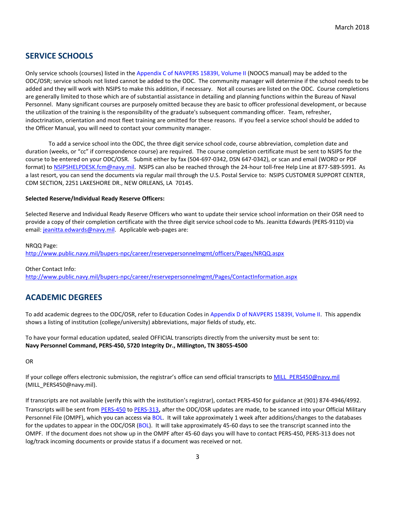## **SERVICE SCHOOLS**

Only service schools (courses) listed in the [Appendix C of NAVPERS 15839I, Volume II](http://www.public.navy.mil/bupers-npc/reference/noc/Pages/default.aspx) (NOOCS manual) may be added to the ODC/OSR; service schools not listed cannot be added to the ODC. The community manager will determine if the school needs to be added and they will work with NSIPS to make this addition, if necessary. Not all courses are listed on the ODC. Course completions are generally limited to those which are of substantial assistance in detailing and planning functions within the Bureau of Naval Personnel. Many significant courses are purposely omitted because they are basic to officer professional development, or because the utilization of the training is the responsibility of the graduate's subsequent commanding officer. Team, refresher, indoctrination, orientation and most fleet training are omitted for these reasons. If you feel a service school should be added to the Officer Manual, you will need to contact your community manager.

To add a service school into the ODC, the three digit service school code, course abbreviation, completion date and duration (weeks, or "cc" if correspondence course) are required. The course completion certificate must be sent to NSIPS for the course to be entered on your ODC/OSR. Submit either by fax (504-697-0342, DSN 647-0342), or scan and email (WORD or PDF format) to [NSIPSHELPDESK.fcm@navy.mil.](mailto:NSIPSHELPDESK.fcm@navy.mil) NSIPS can also be reached through the 24-hour toll-free Help Line at 877-589-5991. As a last resort, you can send the documents via regular mail through the U.S. Postal Service to: NSIPS CUSTOMER SUPPORT CENTER, CDM SECTION, 2251 LAKESHORE DR., NEW ORLEANS, LA 70145.

#### **Selected Reserve/Individual Ready Reserve Officers:**

Selected Reserve and Individual Ready Reserve Officers who want to update their service school information on their OSR need to provide a copy of their completion certificate with the three digit service school code to Ms. Jeanitta Edwards (PERS-911D) via email: [jeanitta.edwards@navy.mil.](mailto:marylynn.gabbard@navy.mil) Applicable web-pages are:

NRQQ Page: <http://www.public.navy.mil/bupers-npc/career/reservepersonnelmgmt/officers/Pages/NRQQ.aspx>

Other Contact Info:

<http://www.public.navy.mil/bupers-npc/career/reservepersonnelmgmt/Pages/ContactInformation.aspx>

## <span id="page-2-0"></span>**ACADEMIC DEGREES**

To add academic degrees to the ODC/OSR, refer to Education Codes in [Appendix D of NAVPERS 15839I, Volume II.](http://www.public.navy.mil/bupers-npc/reference/noc/Pages/default.aspx) This appendix shows a listing of institution (college/university) abbreviations, major fields of study, etc.

To have your formal education updated, sealed OFFICIAL transcripts directly from the university must be sent to: **Navy Personnel Command, PERS-450, 5720 Integrity Dr., Millington, TN 38055-4500**

OR

If your college offers electronic submission, the registrar's office can send official transcripts to [MILL\\_PERS450@navy.mil](mailto:MILL_PERS450@navy.mil) (MILL\_PERS450@navy.mil).

If transcripts are not available (verify this with the institution's registrar), contact PERS-450 for guidance at (901) 874-4946/4992. Transcripts will be sent fro[m PERS-450](http://www.public.navy.mil/bupers-npc/support/distribution/pages/pers45e.aspx) to [PERS-313](http://www.public.navy.mil/bupers-npc/career/recordsmanagement/militarypersonnelrecords/pages/contactus.aspx), after the ODC/OSR updates are made, to be scanned into your Official Military Personnel File (OMPF), which you can access via [BOL.](https://www.bol.navy.mil/) It will take approximately 1 week after additions/changes to the databases for the updates to appear in the ODC/OSR [\(BOL\)](https://www.bol.navy.mil/). It will take approximately 45-60 days to see the transcript scanned into the OMPF.If the document does not show up in the OMPF after 45-60 days you will have to contact PERS-450, PERS-313 does not log/track incoming documents or provide status if a document was received or not.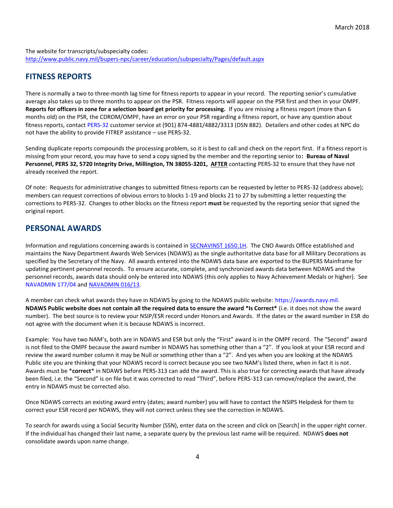The website for transcripts/subspecialty codes: <http://www.public.navy.mil/bupers-npc/career/education/subspecialty/Pages/default.aspx>

## **FITNESS REPORTS**

There is normally a two to three-month lag time for fitness reports to appear in your record. The reporting senior's cumulative average also takes up to three months to appear on the PSR. Fitness reports will appear on the PSR first and then in your OMPF. **Reports for officers in zone for a selection board get priority for processing.** If you are missing a fitness report (more than 6 months old) on the PSR, the CDROM/OMPF, have an error on your PSR regarding a fitness report, or have any question about fitness reports, contact [PERS-32](http://www.public.navy.mil/bupers-npc/career/performanceevaluation/Pages/ContactUs.aspx) customer service at (901) 874-4881/4882/3313 (DSN 882). Detailers and other codes at NPC do not have the ability to provide FITREP assistance – use PERS-32.

Sending duplicate reports compounds the processing problem, so it is best to call and check on the report first. If a fitness report is missing from your record, you may have to send a copy signed by the member and the reporting senior to**: Bureau of Naval Personnel, PERS 32, 5720 Integrity Drive, Millington, TN 38055-3201, AFTER** contacting PERS-32 to ensure that they have not already received the report.

Of note: Requests for administrative changes to submitted fitness reports can be requested by letter to PERS-32 (address above); members can request corrections of obvious errors to blocks 1-19 and blocks 21 to 27 by submitting a letter requesting the corrections to PERS-32. Changes to other blocks on the fitness report **must** be requested by the reporting senior that signed the original report.

## **PERSONAL AWARDS**

Information and regulations concerning awards is contained in [SECNAVINST 1650.1H.](https://awards.navy.mil/awards/webdoc01.nsf/(vwDocsByID)/DL060927142728/?OpenDocument) The CNO Awards Office established and maintains the Navy Department Awards Web Services (NDAWS) as the single authoritative data base for all Military Decorations as specified by the Secretary of the Navy. All awards entered into the NDAWS data base are exported to the BUPERS Mainframe for updating pertinent personnel records. To ensure accurate, complete, and synchronized awards data between NDAWS and the personnel records, awards data should only be entered into NDAWS (this only applies to Navy Achievement Medals or higher). See [NAVADMIN 177/04](http://www.public.navy.mil/BUPERS-NPC/REFERENCE/MESSAGES/Pages/default.aspx) an[d NAVADMIN 016/13.](http://www.public.navy.mil/BUPERS-NPC/REFERENCE/MESSAGES/Pages/default.aspx)

A member can check what awards they have in NDAWS by going to the NDAWS public website: [https://awards.navy.mil.](https://awards.navy.mil/) **NDAWS Public website does not contain all the required data to ensure the award \*Is Correct\*** (i.e. it does not show the award number). The best source is to review your NSIP/ESR record under Honors and Awards. If the dates or the award number in ESR do not agree with the document when it is because NDAWS is incorrect.

Example: You have two NAM's, both are in NDAWS and ESR but only the "First" award is in the OMPF record. The "Second" award is not filed to the OMPF because the award number in NDAWS has something other than a "2". If you look at your ESR record and review the award number column it may be Null or something other than a "2". And yes when you are looking at the NDAWS Public site you are thinking that your NDAWS record is correct because you see two NAM's listed there, when in fact it is not. Awards must be \***correct**\* in NDAWS before PERS-313 can add the award. This is also true for correcting awards that have already been filed, i.e. the "Second" is on file but it was corrected to read "Third", before PERS-313 can remove/replace the award, the entry in NDAWS must be corrected also.

Once NDAWS corrects an existing award entry (dates; award number) you will have to contact the NSIPS Helpdesk for them to correct your ESR record per NDAWS, they will not correct unless they see the correction in NDAWS.

To search for awards using a Social Security Number (SSN), enter data on the screen and click on [Search] in the upper right corner. If the individual has changed their last name, a separate query by the previous last name will be required. NDAWS **does not** consolidate awards upon name change.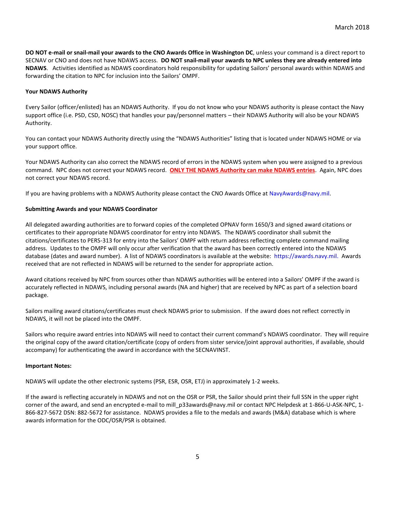**DO NOT e-mail or snail-mail your awards to the CNO Awards Office in Washington DC**, unless your command is a direct report to SECNAV or CNO and does not have NDAWS access. **DO NOT snail-mail your awards to NPC unless they are already entered into NDAWS**. Activities identified as NDAWS coordinators hold responsibility for updating Sailors' personal awards within NDAWS and forwarding the citation to NPC for inclusion into the Sailors' OMPF.

#### **Your NDAWS Authority**

Every Sailor (officer/enlisted) has an NDAWS Authority. If you do not know who your NDAWS authority is please contact the Navy support office (i.e. PSD, CSD, NOSC) that handles your pay/personnel matters – their NDAWS Authority will also be your NDAWS Authority.

You can contact your NDAWS Authority directly using the "NDAWS Authorities" listing that is located under NDAWS HOME or via your support office.

Your NDAWS Authority can also correct the NDAWS record of errors in the NDAWS system when you were assigned to a previous command. NPC does not correct your NDAWS record. **ONLY THE NDAWS Authority can make NDAWS entries**. Again, NPC does not correct your NDAWS record.

If you are having problems with a NDAWS Authority please contact the CNO Awards Office at [NavyAwards@navy.mil.](mailto:NavyAwards@navy.mil)

#### **Submitting Awards and your NDAWS Coordinator**

All delegated awarding authorities are to forward copies of the completed OPNAV form 1650/3 and signed award citations or certificates to their appropriate NDAWS coordinator for entry into NDAWS. The NDAWS coordinator shall submit the citations/certificates to PERS-313 for entry into the Sailors' OMPF with return address reflecting complete command mailing address. Updates to the OMPF will only occur after verification that the award has been correctly entered into the NDAWS database (dates and award number). A list of NDAWS coordinators is available at the website: [https://awards.navy.mil.](https://awards.navy.mil/) Awards received that are not reflected in NDAWS will be returned to the sender for appropriate action.

Award citations received by NPC from sources other than NDAWS authorities will be entered into a Sailors' OMPF if the award is accurately reflected in NDAWS, including personal awards (NA and higher) that are received by NPC as part of a selection board package.

Sailors mailing award citations/certificates must check NDAWS prior to submission. If the award does not reflect correctly in NDAWS, it will not be placed into the OMPF.

Sailors who require award entries into NDAWS will need to contact their current command's NDAWS coordinator. They will require the original copy of the award citation/certificate (copy of orders from sister service/joint approval authorities, if available, should accompany) for authenticating the award in accordance with the SECNAVINST.

#### **Important Notes:**

NDAWS will update the other electronic systems (PSR, ESR, OSR, ETJ) in approximately 1-2 weeks.

If the award is reflecting accurately in NDAWS and not on the OSR or PSR, the Sailor should print their full SSN in the upper right corner of the award, and send an encrypted e-mail to mill\_p33awards@navy.mil or contact NPC Helpdesk at 1-866-U-ASK-NPC, 1- 866-827-5672 DSN: 882-5672 for assistance. NDAWS provides a file to the medals and awards (M&A) database which is where awards information for the ODC/OSR/PSR is obtained.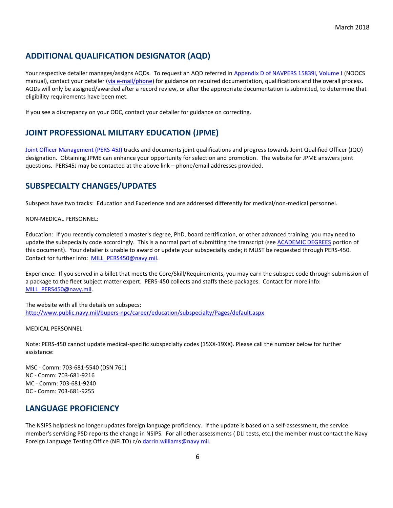## **ADDITIONAL QUALIFICATION DESIGNATOR (AQD)**

Your respective detailer manages/assigns AQDs. To request an AQD referred i[n Appendix D of NAVPERS 15839I, Volume I](http://www.public.navy.mil/bupers-npc/reference/noc/Pages/default.aspx) (NOOCS manual), contact your detailer [\(via e-mail/phone\)](http://www.public.navy.mil/BUPERS-NPC/OFFICER/DETAILING/Pages/default2.aspx) for guidance on required documentation, qualifications and the overall process. AQDs will only be assigned/awarded after a record review, or after the appropriate documentation is submitted, to determine that eligibility requirements have been met.

If you see a discrepancy on your ODC, contact your detailer for guidance on correcting.

## **JOINT PROFESSIONAL MILITARY EDUCATION (JPME)**

[Joint Officer Management \(PERS-45J\)](http://www.public.navy.mil/bupers-npc/officer/Detailing/jointofficer/Pages/default.aspx) tracks and documents joint qualifications and progress towards Joint Qualified Officer (JQO) designation. Obtaining JPME can enhance your opportunity for selection and promotion. The website for JPME answers joint questions. PERS45J may be contacted at the above link – phone/email addresses provided.

## **SUBSPECIALTY CHANGES/UPDATES**

Subspecs have two tracks: Education and Experience and are addressed differently for medical/non-medical personnel.

NON-MEDICAL PERSONNEL:

Education: If you recently completed a master's degree, PhD, board certification, or other advanced training, you may need to update the subspecialty code accordingly. This is a normal part of submitting the transcript (see [ACADEMIC DEGREES](#page-2-0) portion of this document). Your detailer is unable to award or update your subspecialty code; it MUST be requested through PERS-450. Contact for further info: [MILL\\_PERS450@navy.mil.](mailto:MILL_PERS450@navy.mil)

Experience: If you served in a billet that meets the Core/Skill/Requirements, you may earn the subspec code through submission of a package to the fleet subject matter expert. PERS-450 collects and staffs these packages. Contact for more info: [MILL\\_PERS450@navy.mil.](mailto:MILL_PERS450@navy.mil)

The website with all the details on subspecs: <http://www.public.navy.mil/bupers-npc/career/education/subspecialty/Pages/default.aspx>

MEDICAL PERSONNEL:

Note: PERS-450 cannot update medical-specific subspecialty codes (15XX-19XX). Please call the number below for further assistance:

MSC - Comm: 703-681-5540 (DSN 761) NC - Comm: 703-681-9216 MC - Comm: 703-681-9240 DC - Comm: 703-681-9255

### **LANGUAGE PROFICIENCY**

The NSIPS helpdesk no longer updates foreign language proficiency. If the update is based on a self-assessment, the service member's servicing PSD reports the change in NSIPS. For all other assessments ( DLI tests, etc.) the member must contact the Navy Foreign Language Testing Office (NFLTO) c/o [darrin.williams@navy.mil.](mailto:darrin.williams@navy.mil)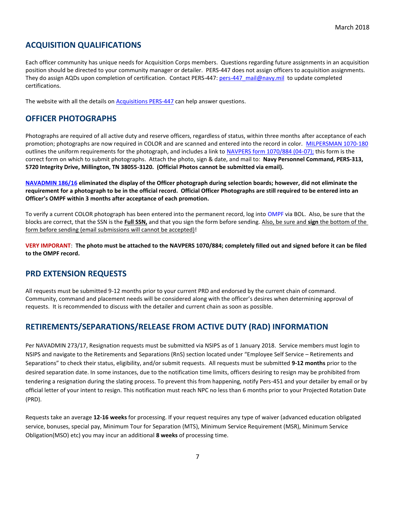## **ACQUISITION QUALIFICATIONS**

Each officer community has unique needs for Acquisition Corps members. Questions regarding future assignments in an acquisition position should be directed to your community manager or detailer. PERS-447 does not assign officers to acquisition assignments. They do assign AQDs upon completion of certification. Contact PERS-447: pers-447 mail@navy.mil to update completed certifications.

The website with all the details on **Acquisitions PERS-447** can help answer questions.

## **OFFICER PHOTOGRAPHS**

Photographs are required of all active duty and reserve officers, regardless of status, within three months after acceptance of each promotion; photographs are now required in COLOR and are scanned and entered into the record in color. [MILPERSMAN 1070-180](http://www.public.navy.mil/bupers-npc/reference/milpersman/1000/1000General/Documents/1070-180.pdf) outlines the uniform requirements for the photograph, and includes a link to [NAVPERS form 1070/884 \(04-07\);](http://www.public.navy.mil/BUPERS-NPC/REFERENCE/FORMS/NAVPERS/Pages/default.aspx) this form is the correct form on which to submit photographs. Attach the photo, sign & date, and mail to: **Navy Personnel Command, PERS-313, 5720 Integrity Drive, Millington, TN 38055-3120. (Official Photos cannot be submitted via email).**

**[NAVADMIN 186/16](http://www.public.navy.mil/bupers-npc/reference/messages/Documents/NAVADMINS/NAV2016/NAV16186.txt) eliminated the display of the Officer photograph during selection boards; however, did not eliminate the requirement for a photograph to be in the official record. Official Officer Photographs are still required to be entered into an Officer's OMPF within 3 months after acceptance of each promotion.**

To verify a current COLOR photograph has been entered into the permanent record, log into [OMPF](http://www.public.navy.mil/bupers-npc/career/recordsmanagement/militarypersonnelrecords/Pages/default2.aspx) via BOL. Also, be sure that the blocks are correct, that the SSN is the **Full SSN,** and that you sign the form before sending. Also, be sure and **sign** the bottom of the form before sending (email submissions will cannot be accepted)!

**VERY IMPORANT**: **The photo must be attached to the NAVPERS 1070/884; completely filled out and signed before it can be filed to the OMPF record.**

### **PRD EXTENSION REQUESTS**

All requests must be submitted 9-12 months prior to your current PRD and endorsed by the current chain of command. Community, command and placement needs will be considered along with the officer's desires when determining approval of requests. It is recommended to discuss with the detailer and current chain as soon as possible.

## **RETIREMENTS/SEPARATIONS/RELEASE FROM ACTIVE DUTY (RAD) INFORMATION**

Per NAVADMIN 273/17, Resignation requests must be submitted via NSIPS as of 1 January 2018. Service members must login to NSIPS and navigate to the Retirements and Separations (RnS) section located under "Employee Self Service – Retirements and Separations" to check their status, eligibility, and/or submit requests. All requests must be submitted **9-12 months** prior to the desired separation date. In some instances, due to the notification time limits, officers desiring to resign may be prohibited from tendering a resignation during the slating process. To prevent this from happening, notify Pers-451 and your detailer by email or by official letter of your intent to resign. This notification must reach NPC no less than 6 months prior to your Projected Rotation Date (PRD).

Requests take an average **12-16 weeks** for processing. If your request requires any type of waiver (advanced education obligated service, bonuses, special pay, Minimum Tour for Separation (MTS), Minimum Service Requirement (MSR), Minimum Service Obligation(MSO) etc) you may incur an additional **8 weeks** of processing time.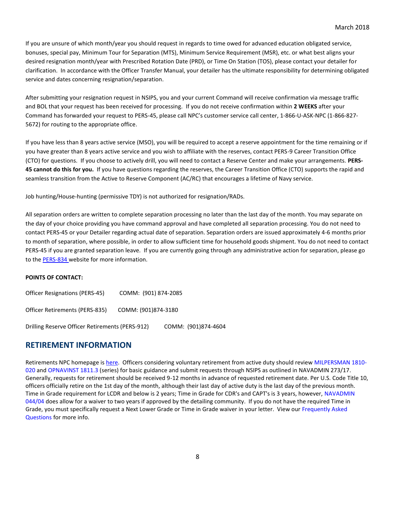If you are unsure of which month/year you should request in regards to time owed for advanced education obligated service, bonuses, special pay, Minimum Tour for Separation (MTS), Minimum Service Requirement (MSR), etc. or what best aligns your desired resignation month/year with Prescribed Rotation Date (PRD), or Time On Station (TOS), please contact your detailer for clarification. In accordance with the Officer Transfer Manual, your detailer has the ultimate responsibility for determining obligated service and dates concerning resignation/separation.

After submitting your resignation request in NSIPS, you and your current Command will receive confirmation via message traffic and BOL that your request has been received for processing. If you do not receive confirmation within **2 WEEKS** after your Command has forwarded your request to PERS-45, please call NPC's customer service call center, 1-866-U-ASK-NPC (1-866-827- 5672) for routing to the appropriate office.

If you have less than 8 years active service (MSO), you will be required to accept a reserve appointment for the time remaining or if you have greater than 8 years active service and you wish to affiliate with the reserves, contact PERS-9 Career Transition Office (CTO) for questions. If you choose to actively drill, you will need to contact a Reserve Center and make your arrangements. **PERS-45 cannot do this for you.** If you have questions regarding the reserves, the Career Transition Office (CTO) supports the rapid and seamless transition from the Active to Reserve Component (AC/RC) that encourages a lifetime of Navy service.

Job hunting/House-hunting (permissive TDY) is not authorized for resignation/RADs.

All separation orders are written to complete separation processing no later than the last day of the month. You may separate on the day of your choice providing you have command approval and have completed all separation processing. You do not need to contact PERS-45 or your Detailer regarding actual date of separation. Separation orders are issued approximately 4-6 months prior to month of separation, where possible, in order to allow sufficient time for household goods shipment. You do not need to contact PERS-45 if you are granted separation leave. If you are currently going through any administrative action for separation, please go to th[e PERS-834 w](http://www.public.navy.mil/bupers-npc/career/personnelconductandseparations/Pages/OfficerPerformanceSeparations.aspx)ebsite for more information.

#### **POINTS OF CONTACT:**

| <b>Officer Resignations (PERS-45)</b>           | COMM: (901) 874-2085 |                     |
|-------------------------------------------------|----------------------|---------------------|
| Officer Retirements (PERS-835)                  | COMM: (901)874-3180  |                     |
| Drilling Reserve Officer Retirements (PERS-912) |                      | COMM: (901)874-4604 |

#### **RETIREMENT INFORMATION**

Retirements NPC homepage is [here.](http://www.public.navy.mil/bupers-npc/career/retirement/Pages/default.aspx) Officers considering voluntary retirement from active duty should revie[w MILPERSMAN 1810-](http://www.public.navy.mil/bupers-npc/reference/milpersman/1000/1800Retirement/Pages/default.aspx) [020](http://www.public.navy.mil/bupers-npc/reference/milpersman/1000/1800Retirement/Pages/default.aspx) and [OPNAVINST 1811.3](http://www.public.navy.mil/bupers-npc/officer/communitymanagers/ldo_cwo/pages/references.aspx) (series) for basic guidance and submit requests through NSIPS as outlined in NAVADMIN 273/17. Generally, requests for retirement should be received 9-12 months in advance of requested retirement date. Per U.S. Code Title 10, officers officially retire on the 1st day of the month, although their last day of active duty is the last day of the previous month. Time in Grade requirement for LCDR and below is 2 years; Time in Grade for CDR's and CAPT's is 3 years, however[, NAVADMIN](http://www.public.navy.mil/BUPERS-NPC/REFERENCE/MESSAGES/Pages/default.aspx)  [044/04](http://www.public.navy.mil/BUPERS-NPC/REFERENCE/MESSAGES/Pages/default.aspx) does allow for a waiver to two years if approved by the detailing community. If you do not have the required Time in Grade, you must specifically request a Next Lower Grade or Time in Grade waiver in your letter. View ou[r Frequently Asked](http://www.public.navy.mil/bupers-npc/career/retirement/OfficerRetirements/Pages/FAQ.aspx)  [Questions](http://www.public.navy.mil/bupers-npc/career/retirement/OfficerRetirements/Pages/FAQ.aspx) for more info.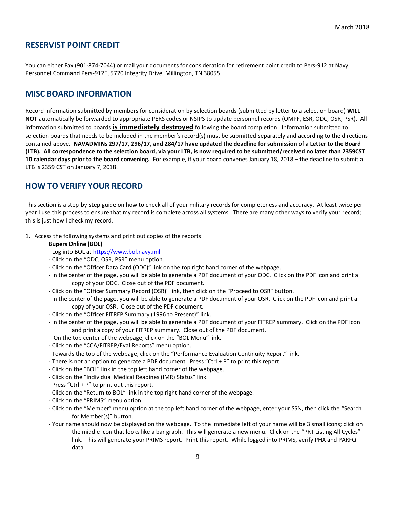## **RESERVIST POINT CREDIT**

You can either Fax (901-874-7044) or mail your documents for consideration for retirement point credit to Pers-912 at Navy Personnel Command Pers-912E, 5720 Integrity Drive, Millington, TN 38055.

## **MISC BOARD INFORMATION**

Record information submitted by members for consideration by selection boards (submitted by letter to a selection board) **WILL NOT** automatically be forwarded to appropriate PERS codes or NSIPS to update personnel records (OMPF, ESR, ODC, OSR, PSR). All information submitted to boards **is immediately destroyed** following the board completion. Information submitted to selection boards that needs to be included in the member's record(s) must be submitted separately and according to the directions contained above. **NAVADMINs 297/17, 296/17, and 284/17 have updated the deadline for submission of a Letter to the Board (LTB). All correspondence to the selection board, via your LTB, is now required to be submitted/received no later than 2359CST 10 calendar days prior to the board convening.** For example, if your board convenes January 18, 2018 – the deadline to submit a LTB is 2359 CST on January 7, 2018.

## **HOW TO VERIFY YOUR RECORD**

This section is a step-by-step guide on how to check all of your military records for completeness and accuracy. At least twice per year I use this process to ensure that my record is complete across all systems. There are many other ways to verify your record; this is just how I check my record.

- 1. Access the following systems and print out copies of the reports:
	- **Bupers Online (BOL)**
	- Log into BOL at [https://www.bol.navy.mil](https://www.bol.navy.mil/)
	- Click on the "ODC, OSR, PSR" menu option.
	- Click on the "Officer Data Card (ODC)" link on the top right hand corner of the webpage.
	- In the center of the page, you will be able to generate a PDF document of your ODC. Click on the PDF icon and print a copy of your ODC. Close out of the PDF document.
	- Click on the "Officer Summary Record (OSR)" link, then click on the "Proceed to OSR" button.
	- In the center of the page, you will be able to generate a PDF document of your OSR. Click on the PDF icon and print a copy of your OSR. Close out of the PDF document.
	- Click on the "Officer FITREP Summary (1996 to Present)" link.
	- In the center of the page, you will be able to generate a PDF document of your FITREP summary. Click on the PDF icon and print a copy of your FITREP summary. Close out of the PDF document.
	- On the top center of the webpage, click on the "BOL Menu" link.
	- Click on the "CCA/FITREP/Eval Reports" menu option.
	- Towards the top of the webpage, click on the "Performance Evaluation Continuity Report" link.
	- There is not an option to generate a PDF document. Press "Ctrl + P" to print this report.
	- Click on the "BOL" link in the top left hand corner of the webpage.
	- Click on the "Individual Medical Readines (IMR) Status" link.
	- Press "Ctrl + P" to print out this report.
	- Click on the "Return to BOL" link in the top right hand corner of the webpage.
	- Click on the "PRIMS" menu option.
	- Click on the "Member" menu option at the top left hand corner of the webpage, enter your SSN, then click the "Search for Member(s)" button.
	- Your name should now be displayed on the webpage. To the immediate left of your name will be 3 small icons; click on the middle icon that looks like a bar graph. This will generate a new menu. Click on the "PRT Listing All Cycles" link. This will generate your PRIMS report. Print this report. While logged into PRIMS, verify PHA and PARFQ data.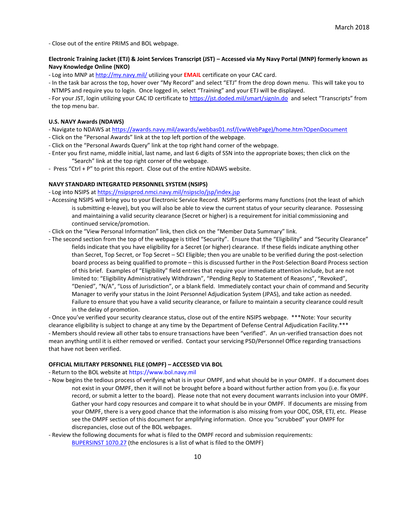- Close out of the entire PRIMS and BOL webpage.

#### **Electronic Training Jacket (ETJ) & Joint Services Transcript (JST) – Accessed via My Navy Portal (MNP) formerly known as Navy Knowledge Online (NKO)**

- Log into MNP at<http://my.navy.mil/> utilizing your **EMAIL** certificate on your CAC card.
- In the task bar across the top, hover over "My Record" and select "ETJ" from the drop down menu. This will take you to NTMPS and require you to login. Once logged in, select "Training" and your ETJ will be displayed.
- For your JST, login utilizing your CAC ID certificate t[o https://jst.doded.mil/smart/signIn.do](https://jst.doded.mil/smart/signIn.do) and select "Transcripts" from the top menu bar.

#### **U.S. NAVY Awards (NDAWS)**

- Navigate to NDAWS a[t https://awards.navy.mil/awards/webbas01.nsf/\(vwWebPage\)/home.htm?OpenDocument](https://awards.navy.mil/awards/webbas01.nsf/(vwWebPage)/home.htm?OpenDocument)
- Click on the "Personal Awards" link at the top left portion of the webpage.
- Click on the "Personal Awards Query" link at the top right hand corner of the webpage.
- Enter you first name, middle initial, last name, and last 6 digits of SSN into the appropriate boxes; then click on the "Search" link at the top right corner of the webpage.
- Press "Ctrl + P" to print this report. Close out of the entire NDAWS website.

#### **NAVY STANDARD INTEGRATED PERSONNEL SYSTEM (NSIPS)**

- Log into NSIPS at<https://nsipsprod.nmci.navy.mil/nsipsclo/jsp/index.jsp>
- Accessing NSIPS will bring you to your Electronic Service Record. NSIPS performs many functions (not the least of which is submitting e-leave), but you will also be able to view the current status of your security clearance. Possessing and maintaining a valid security clearance (Secret or higher) is a requirement for initial commissioning and continued service/promotion.
- Click on the "View Personal Information" link, then click on the "Member Data Summary" link.
- The second section from the top of the webpage is titled "Security". Ensure that the "Eligibility" and "Security Clearance" fields indicate that you have eligibility for a Secret (or higher) clearance. If these fields indicate anything other than Secret, Top Secret, or Top Secret – SCI Eligible; then you are unable to be verified during the post-selection board process as being qualified to promote – this is discussed further in the Post-Selection Board Process section of this brief. Examples of "Eligibility" field entries that require your immediate attention include, but are not limited to: "Eligibility Administratively Withdrawn", "Pending Reply to Statement of Reasons", "Revoked", "Denied", "N/A", "Loss of Jurisdiction", or a blank field. Immediately contact your chain of command and Security Manager to verify your status in the Joint Personnel Adjudication System (JPAS), and take action as needed. Failure to ensure that you have a valid security clearance, or failure to maintain a security clearance could result in the delay of promotion.

- Once you've verified your security clearance status, close out of the entire NSIPS webpage. \*\*\*Note: Your security clearance eligibility is subject to change at any time by the Department of Defense Central Adjudication Facility.\*\*\* - Members should review all other tabs to ensure transactions have been "verified". An un-verified transaction does not mean anything until it is either removed or verified. Contact your servicing PSD/Personnel Office regarding transactions that have not been verified.

#### **OFFICIAL MILITARY PERSONNEL FILE (OMPF) – ACCESSED VIA BOL**

- Return to the BOL website at [https://www.bol.navy.mil](https://www.bol.navy.mil/)

- Now begins the tedious process of verifying what is in your OMPF, and what should be in your OMPF. If a document does not exist in your OMPF, then it will not be brought before a board without further action from you (i.e. fix your record, or submit a letter to the board). Please note that not every document warrants inclusion into your OMPF. Gather your hard copy resources and compare it to what should be in your OMPF. If documents are missing from your OMPF, there is a very good chance that the information is also missing from your ODC, OSR, ETJ, etc. Please see the OMPF section of this document for amplifying information. Once you "scrubbed" your OMPF for discrepancies, close out of the BOL webpages.
- Review the following documents for what is filed to the OMPF record and submission requirements: [BUPERSINST 1070.27](http://www.public.navy.mil/bupers-npc/reference/instructions/BUPERSInstructions/Documents/1070.27C.pdf) (the enclosures is a list of what is filed to the OMPF)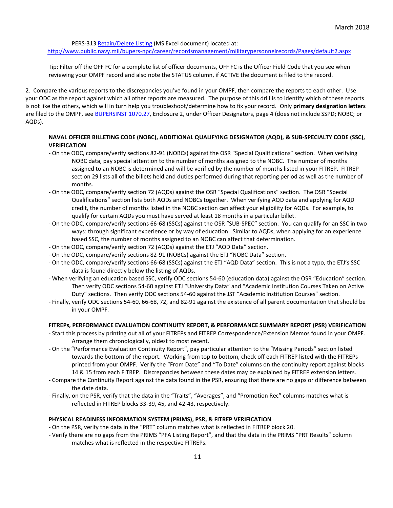PERS-31[3 Retain/Delete Listing](http://www.public.navy.mil/bupers-npc/career/recordsmanagement/Documents/RetainDeleteListing.xls) (MS Excel document) located at:

<http://www.public.navy.mil/bupers-npc/career/recordsmanagement/militarypersonnelrecords/Pages/default2.aspx>

Tip: Filter off the OFF FC for a complete list of officer documents, OFF FC is the Officer Field Code that you see when reviewing your OMPF record and also note the STATUS column, if ACTIVE the document is filed to the record.

2. Compare the various reports to the discrepancies you've found in your OMPF, then compare the reports to each other. Use your ODC as the report against which all other reports are measured. The purpose of this drill is to identify which of these reports is not like the others, which will in turn help you troubleshoot/determine how to fix your record. Only **primary designation letters** are filed to the OMPF, see [BUPERSINST 1070.27,](http://www.public.navy.mil/bupers-npc/reference/instructions/BUPERSInstructions/Documents/1070.27C.pdf) Enclosure 2, under Officer Designators, page 4 (does not include SSPD; NOBC; or AQDs).

#### **NAVAL OFFICER BILLETING CODE (NOBC), ADDITIONAL QUALIFYING DESIGNATOR (AQD), & SUB-SPECIALTY CODE (SSC), VERIFICATION**

- On the ODC, compare/verify sections 82-91 (NOBCs) against the OSR "Special Qualifications" section. When verifying NOBC data, pay special attention to the number of months assigned to the NOBC. The number of months assigned to an NOBC is determined and will be verified by the number of months listed in your FITREP. FITREP section 29 lists all of the billets held and duties performed during that reporting period as well as the number of months.
- On the ODC, compare/verify section 72 (AQDs) against the OSR "Special Qualifications" section. The OSR "Special Qualifications" section lists both AQDs and NOBCs together. When verifying AQD data and applying for AQD credit, the number of months listed in the NOBC section can affect your eligibility for AQDs. For example, to qualify for certain AQDs you must have served at least 18 months in a particular billet.
- On the ODC, compare/verify sections 66-68 (SSCs) against the OSR "SUB-SPEC" section. You can qualify for an SSC in two ways: through significant experience or by way of education. Similar to AQDs, when applying for an experience based SSC, the number of months assigned to an NOBC can affect that determination.
- On the ODC, compare/verify section 72 (AQDs) against the ETJ "AQD Data" section.
- On the ODC, compare/verify sections 82-91 (NOBCs) against the ETJ "NOBC Data" section.
- On the ODC, compare/verify sections 66-68 (SSCs) against the ETJ "AQD Data" section. This is not a typo, the ETJ's SSC data is found directly below the listing of AQDs.
- When verifying an education based SSC, verify ODC sections 54-60 (education data) against the OSR "Education" section. Then verify ODC sections 54-60 against ETJ "University Data" and "Academic Institution Courses Taken on Active Duty" sections. Then verify ODC sections 54-60 against the JST "Academic Institution Courses" section.
- Finally, verify ODC sections 54-60, 66-68, 72, and 82-91 against the existence of all parent documentation that should be in your OMPF.

#### **FITREPs, PERFORMANCE EVALUATION CONTINUITY REPORT, & PERFORMANCE SUMMARY REPORT (PSR) VERIFICATION**

- Start this process by printing out all of your FITREPs and FITREP Correspondence/Extension Memos found in your OMPF. Arrange them chronologically, oldest to most recent.
- On the "Performance Evaluation Continuity Report", pay particular attention to the "Missing Periods" section listed towards the bottom of the report. Working from top to bottom, check off each FITREP listed with the FITREPs printed from your OMPF. Verify the "From Date" and "To Date" columns on the continuity report against blocks 14 & 15 from each FITREP. Discrepancies between these dates may be explained by FITREP extension letters.
- Compare the Continuity Report against the data found in the PSR, ensuring that there are no gaps or difference between the date data.
- Finally, on the PSR, verify that the data in the "Traits", "Averages", and "Promotion Rec" columns matches what is reflected in FITREP blocks 33-39, 45, and 42-43, respectively.

#### **PHYSICAL READINESS INFORMATION SYSTEM (PRIMS), PSR, & FITREP VERIFICATION**

- On the PSR, verify the data in the "PRT" column matches what is reflected in FITREP block 20.
- Verify there are no gaps from the PRIMS "PFA Listing Report", and that the data in the PRIMS "PRT Results" column matches what is reflected in the respective FITREPs.